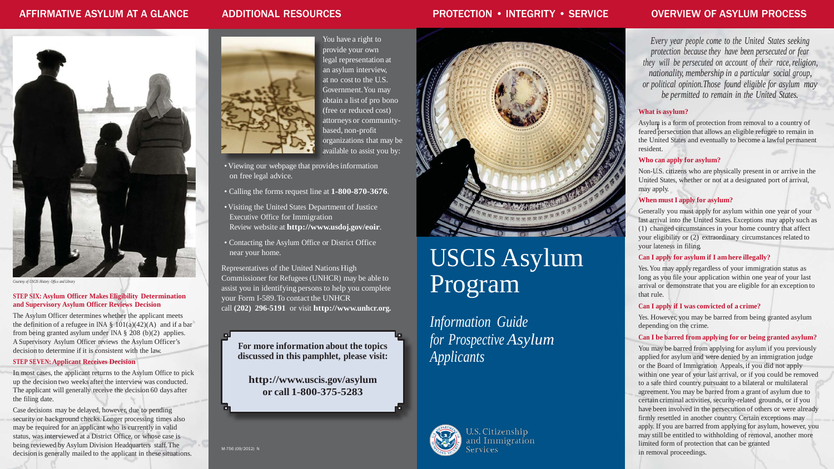# AFFIRMATIVE ASYLUM AT A GLANCE



*Courtesy of USCIS History Office and Library*

### **STEP SIX: Asylum Officer Makes Eligibility Determination and Supervisory Asylum Officer Reviews Decision**

The Asylum Officer determines whether the applicant meets the definition of a refugee in INA  $\S$  101(a)(42)(A) and if a bar from being granted asylum under INA § 208 (b)(2) applies. A Supervisory Asylum Officer reviews the Asylum Officer's decision to determine if it is consistent with the law.

### **STEP SEVEN: Applicant Receives Decision**

In most cases, the applicant returns to the Asylum Office to pick up the decision two weeks after the interview was conducted. The applicant will generally receive the decision 60 days after the filing date.

Case decisions may be delayed, however, due to pending security or background checks. Longer processing times also may be required for an applicant who is currently in valid status, was interviewed at a District Office, or whose case is being reviewed by Asylum Division Headquarters staff. The decision is generally mailed to the applicant in these situations.



## ADDITIONAL RESOURCES

You have a right to provide your own legal representation at an asylum interview, at no cost to the U.S. Government.You may obtain a list of pro bono (free or reduced cost) attorneys or communitybased, non-profit organizations that may be available to assist you by:

Asylum is a form of protection from removal to a country of feared persecution that allows an eligible refugee to remain in the United States and eventually to become a lawful permanent

- Viewing our webpage that providesinformation on free legal advice.
- Calling the forms request line at **1-800-870-3676**.
- Visiting the United States Department of Justice Executive Office for Immigration Review website at **<http://www.usdoj.gov/eoir>**.
- Contacting the Asylum Office or District Office near your home.

Representatives of the United Nations High Commissioner for Refugees (UNHCR) may be able to assist you in identifying persons to help you complete your Form I-589. To contact the UNHCR call **(202) 296-5191** or visit **[http://www.unhcr.org.](http://www.unhcr.org/)**

**For more information about the topics discussed in this pamphlet, please visit:**

**<http://www.uscis.gov/asylum> or call 1-800-375-5283**

M-756 (09/2012) N



# PROTECTION • INTEGRITY • SERVICE

# USCIS Asylum Program

*Information Guide for Prospective Asylum Applicants*



**U.S. Citizenship** and Immigration ervices

# OVERVIEW OF ASYLUM PROCESS

*Every year people come to the United States seeking protection because they have been persecuted or fear they will be persecuted on account of their race, religion, nationality, membership in a particular social group, or political opinion.Those found eligible for asylum may be permitted to remain in the United States.*

#### **What is asylum?**

resident.

### **Who can apply for asylum?**

Non-U.S. citizens who are physically present in or arrive in the United States, whether or not at a designated port of arrival, may apply.

### **When must I apply for asylum?**

Generally you must apply for asylum within one year of your last arrival into the United States. Exceptions may apply such as (1) changed circumstances in your home country that affect your eligibility or (2) extraordinary circumstances related to your lateness in filing.

### **Can I apply for asylum if I am here illegally?**

Yes. You may apply regardless of your immigration status as long as you file your application within one year of your last arrival or demonstrate that you are eligible for an exception to that rule.

### **Can I apply if I was convicted of a crime?**

Yes. However, you may be barred from being granted asylum depending on the crime.

#### **Can I be barred from applying for or being granted asylum?**

You may be barred from applying for asylum if you previously applied for asylum and were denied by an immigration judge or the Board of Immigration Appeals, if you did not apply within one year of your last arrival, or if you could be removed to a safe third country pursuant to a bilateral or multilateral agreement.You may be barred from a grant of asylum due to certain criminal activities, security-related grounds, or if you have been involved in the persecution of others or were already firmly resettled in another country. Certain exceptions may apply. If you are barred from applying for asylum, however, you may still be entitled to withholding of removal, another more limited form of protection that can be granted in removal proceedings.